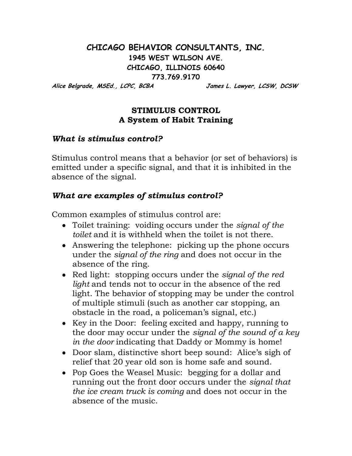# **CHICAGO BEHAVIOR CONSULTANTS, INC. 1945 WEST WILSON AVE. CHICAGO, ILLINOIS 60640 773.769.9170**

**Alice Belgrade, MSEd., LCPC, BCBA James L. Lawyer, LCSW, DCSW**

### **STIMULUS CONTROL A System of Habit Training**

### *What is stimulus control?*

Stimulus control means that a behavior (or set of behaviors) is emitted under a specific signal, and that it is inhibited in the absence of the signal.

# *What are examples of stimulus control?*

Common examples of stimulus control are:

- Toilet training: voiding occurs under the *signal of the toilet* and it is withheld when the toilet is not there.
- Answering the telephone: picking up the phone occurs under the *signal of the ring* and does not occur in the absence of the ring.
- Red light: stopping occurs under the *signal of the red light* and tends not to occur in the absence of the red light. The behavior of stopping may be under the control of multiple stimuli (such as another car stopping, an obstacle in the road, a policeman's signal, etc.)
- Key in the Door: feeling excited and happy, running to the door may occur under the *signal of the sound of a key in the door* indicating that Daddy or Mommy is home!
- Door slam, distinctive short beep sound: Alice's sigh of relief that 20 year old son is home safe and sound.
- Pop Goes the Weasel Music: begging for a dollar and running out the front door occurs under the *signal that the ice cream truck is coming* and does not occur in the absence of the music.